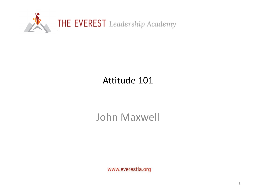

## Attitude 101

## John Maxwell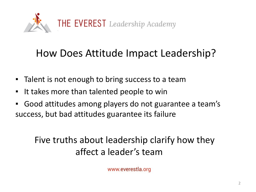

# How Does Attitude Impact Leadership?

- Talent is not enough to bring success to a team
- It takes more than talented people to win
- Good attitudes among players do not guarantee a team's success, but bad attitudes guarantee its failure

## Five truths about leadership clarify how they affect a leader's team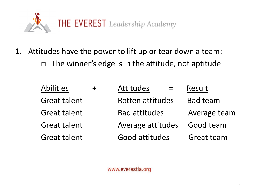

1. Attitudes have the power to lift up or tear down a team:  $\Box$  The winner's edge is in the attitude, not aptitude

| <b>Abilities</b>    | <b>Attitudes</b>        | Result          |
|---------------------|-------------------------|-----------------|
| <b>Great talent</b> | <b>Rotten attitudes</b> | <b>Bad team</b> |
| <b>Great talent</b> | <b>Bad attitudes</b>    | Average team    |
| <b>Great talent</b> | Average attitudes       | Good team       |
| <b>Great talent</b> | Good attitudes          | Great team      |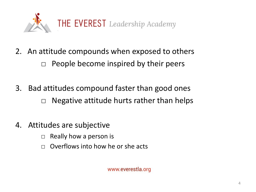

- 2. An attitude compounds when exposed to others  $\Box$  People become inspired by their peers
- 3. Bad attitudes compound faster than good ones  $\Box$  Negative attitude hurts rather than helps
- 4. Attitudes are subjective
	- $\Box$  Really how a person is
	- $\Box$  Overflows into how he or she acts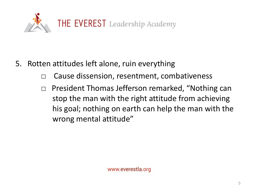

- 5. Rotten attitudes left alone, ruin everything
	- □ Cause dissension, resentment, combativeness
	- □ President Thomas Jefferson remarked, "Nothing can stop the man with the right attitude from achieving his goal; nothing on earth can help the man with the wrong mental attitude"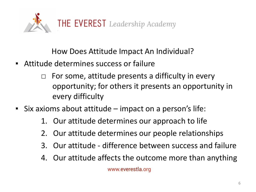

How Does Attitude Impact An Individual?

- **EXECT** Attitude determines success or failure
	- $\Box$  For some, attitude presents a difficulty in every opportunity; for others it presents an opportunity in every difficulty
- Six axioms about attitude impact on a person's life:
	- 1. Our attitude determines our approach to life
	- 2. Our attitude determines our people relationships
	- 3. Our attitude difference between success and failure
	- 4. Our attitude affects the outcome more than anything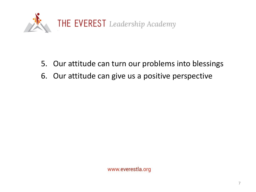

- 5. Our attitude can turn our problems into blessings
- 6. Our attitude can give us a positive perspective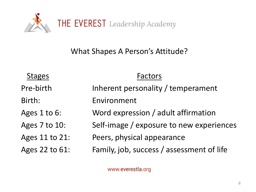

What Shapes A Person's Attitude?

Factors

- Pre-birth Inherent personality / temperament
- Birth: Environment
- Ages 1 to 6: Word expression / adult affirmation
- Ages 7 to 10: Self-image / exposure to new experiences

Ages 11 to 21: Peers, physical appearance

Ages 22 to 61: Family, job, success / assessment of life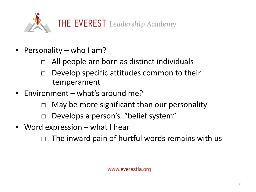

- Personality who I am?
	- All people are born as distinct individuals
	- $\Box$  Develop specific attitudes common to their temperament
- Environment what's around me?
	- $\Box$  May be more significant than our personality
	- □ Develops a person's "belief system"
- Word expression what I hear
	- $\Box$  The inward pain of hurtful words remains with us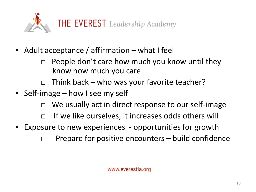

- Adult acceptance / affirmation what I feel
	- $\Box$  People don't care how much you know until they know how much you care
	- $\Box$  Think back who was your favorite teacher?
- **Example 3 Self-image how I see my self** 
	- □ We usually act in direct response to our self-image
	- □ If we like ourselves, it increases odds others will
- Exposure to new experiences opportunities for growth
	- $\Box$  Prepare for positive encounters build confidence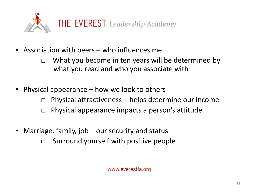

- **EXE** Association with peers who influences me
	- $\Box$  What you become in ten years will be determined by what you read and who you associate with
- **•** Physical appearance how we look to others
	- $\Box$  Physical attractiveness helps determine our income
	- $\Box$  Physical appearance impacts a person's attitude
- Marriage, family, job our security and status
	- $\Box$  Surround yourself with positive people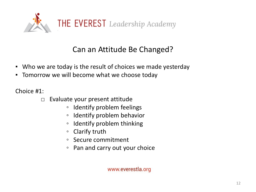

### Can an Attitude Be Changed?

- Who we are today is the result of choices we made yesterday
- Tomorrow we will become what we choose today

Choice #1:

- $\Box$  Evaluate your present attitude
	- Identify problem feelings
	- Identify problem behavior
	- Identify problem thinking
	- Clarify truth
	- Secure commitment
	- Pan and carry out your choice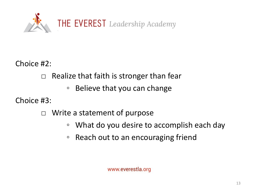

Choice #2:

 $\Box$  Realize that faith is stronger than fear

◦ Believe that you can change

Choice #3:

□ Write a statement of purpose

- What do you desire to accomplish each day
- Reach out to an encouraging friend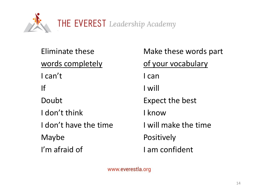

words completely and the of your vocabulary I can't learning the set of the set of the set of the set of the set of the set of the set of the set of the s If I will Doubt **Expect the best** I don't think I know I don't have the time I will make the time Maybe **Positively** I'm afraid of I am confident

Eliminate these Make these words part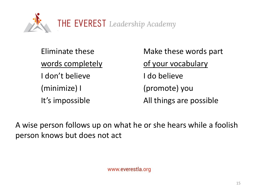

I don't believe The I do believe (minimize) I (promote) you

Eliminate these Make these words part words completely of your vocabulary It's impossible All things are possible

A wise person follows up on what he or she hears while a foolish person knows but does not act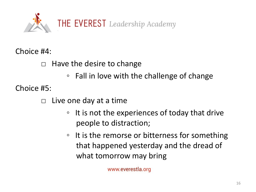

Choice #4:

 $\Box$  Have the desire to change

◦ Fall in love with the challenge of change

Choice #5:

 $\Box$  Live one day at a time

- It is not the experiences of today that drive people to distraction;
- It is the remorse or bitterness for something that happened yesterday and the dread of what tomorrow may bring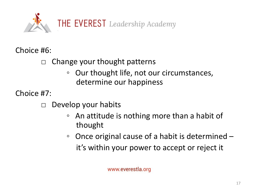

Choice #6:

 $\Box$  Change your thought patterns

◦ Our thought life, not our circumstances, determine our happiness

Choice #7:

□ Develop your habits

- An attitude is nothing more than a habit of thought
- Once original cause of a habit is determined it's within your power to accept or reject it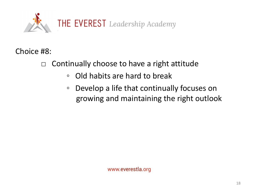

Choice #8:

- $\Box$  Continually choose to have a right attitude
	- Old habits are hard to break
	- Develop a life that continually focuses on growing and maintaining the right outlook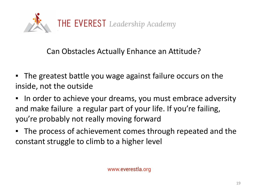

Can Obstacles Actually Enhance an Attitude?

- The greatest battle you wage against failure occurs on the inside, not the outside
- In order to achieve your dreams, you must embrace adversity and make failure a regular part of your life. If you're failing, you're probably not really moving forward
- The process of achievement comes through repeated and the constant struggle to climb to a higher level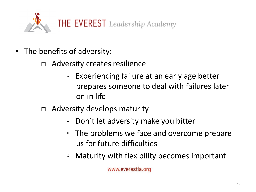

- The benefits of adversity:
	- Adversity creates resilience
		- Experiencing failure at an early age better prepares someone to deal with failures later on in life
	- $\Box$  Adversity develops maturity
		- Don't let adversity make you bitter
		- The problems we face and overcome prepare us for future difficulties
		- Maturity with flexibility becomes important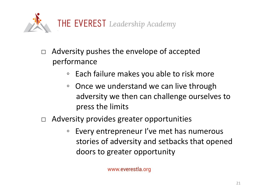

- $\Box$  Adversity pushes the envelope of accepted performance
	- Each failure makes you able to risk more
	- Once we understand we can live through adversity we then can challenge ourselves to press the limits
- $\Box$  Adversity provides greater opportunities
	- Every entrepreneur I've met has numerous stories of adversity and setbacks that opened doors to greater opportunity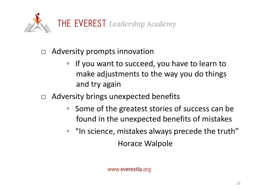

- □ Adversity prompts innovation
	- If you want to succeed, you have to learn to make adjustments to the way you do things and try again
- □ Adversity brings unexpected benefits
	- Some of the greatest stories of success can be found in the unexpected benefits of mistakes
	- "In science, mistakes always precede the truth" Horace Walpole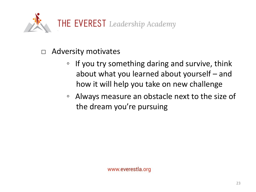

- □ Adversity motivates
	- If you try something daring and survive, think about what you learned about yourself – and how it will help you take on new challenge
	- Always measure an obstacle next to the size of the dream you're pursuing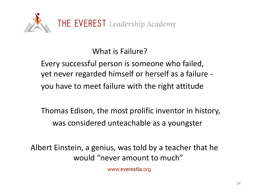

What is Failure?

Every successful person is someone who failed, yet never regarded himself or herself as a failure you have to meet failure with the right attitude

Thomas Edison, the most prolific inventor in history, was considered unteachable as a youngster

Albert Einstein, a genius, was told by a teacher that he would "never amount to much"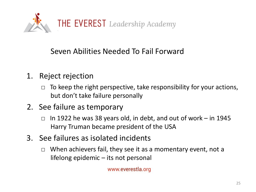

### Seven Abilities Needed To Fail Forward

- 1. Reject rejection
	- $\Box$  To keep the right perspective, take responsibility for your actions, but don't take failure personally
- 2. See failure as temporary
	- $\Box$  In 1922 he was 38 years old, in debt, and out of work in 1945 Harry Truman became president of the USA
- 3. See failures as isolated incidents
	- $\Box$  When achievers fail, they see it as a momentary event, not a lifelong epidemic – its not personal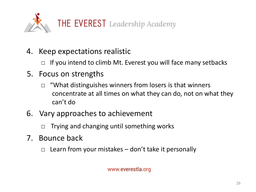

- 4. Keep expectations realistic
	- $\Box$  If you intend to climb Mt. Everest you will face many setbacks
- 5. Focus on strengths
	- $\Box$  "What distinguishes winners from losers is that winners concentrate at all times on what they can do, not on what they can't do
- 6. Vary approaches to achievement

 $\Box$  Trying and changing until something works

- 7. Bounce back
	- $\Box$  Learn from your mistakes don't take it personally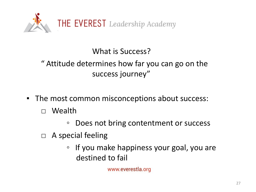

What is Success?

" Attitude determines how far you can go on the success journey"

- The most common misconceptions about success:
	- □ Wealth
		- Does not bring contentment or success
	- $\Box$  A special feeling
		- If you make happiness your goal, you are destined to fail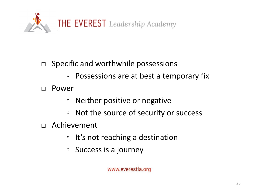

### $\Box$  Specific and worthwhile possessions

◦ Possessions are at best a temporary fix

□ Power

- Neither positive or negative
- Not the source of security or success
- □ Achievement
	- It's not reaching a destination
	- Success is a journey